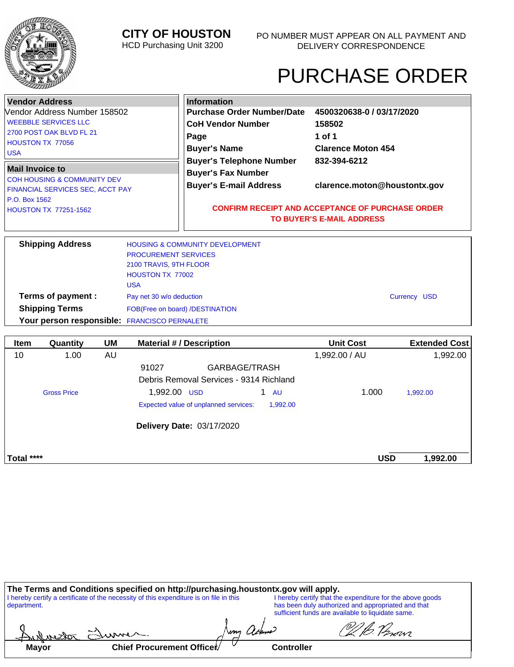## **CITY OF HOUSTON**

HCD Purchasing Unit 3200

- 0 ┑

# PURCHASE ORDER

|                                                | <b>Vendor Address</b>                        |    |                                         | <b>Information</b>                                            |          |                           |                      |  |  |
|------------------------------------------------|----------------------------------------------|----|-----------------------------------------|---------------------------------------------------------------|----------|---------------------------|----------------------|--|--|
|                                                | Vendor Address Number 158502                 |    |                                         | <b>Purchase Order Number/Date</b>                             |          | 4500320638-0 / 03/17/2020 |                      |  |  |
|                                                | <b>WEEBBLE SERVICES LLC</b>                  |    |                                         | <b>CoH Vendor Number</b>                                      |          | 158502                    |                      |  |  |
|                                                | 2700 POST OAK BLVD FL 21                     |    |                                         | Page                                                          |          | 1 of 1                    |                      |  |  |
|                                                | HOUSTON TX 77056                             |    |                                         | <b>Buyer's Name</b>                                           |          | <b>Clarence Moton 454</b> |                      |  |  |
| <b>USA</b>                                     |                                              |    |                                         | <b>Buyer's Telephone Number</b>                               |          | 832-394-6212              |                      |  |  |
| <b>Mail Invoice to</b>                         |                                              |    |                                         |                                                               |          |                           |                      |  |  |
|                                                | <b>COH HOUSING &amp; COMMUNITY DEV</b>       |    |                                         | <b>Buyer's Fax Number</b>                                     |          |                           |                      |  |  |
|                                                | FINANCIAL SERVICES SEC, ACCT PAY             |    |                                         | <b>Buyer's E-mail Address</b><br>clarence.moton@houstontx.gov |          |                           |                      |  |  |
| P.O. Box 1562                                  |                                              |    |                                         |                                                               |          |                           |                      |  |  |
|                                                | <b>HOUSTON TX 77251-1562</b>                 |    |                                         | <b>CONFIRM RECEIPT AND ACCEPTANCE OF PURCHASE ORDER</b>       |          |                           |                      |  |  |
|                                                |                                              |    | <b>TO BUYER'S E-MAIL ADDRESS</b>        |                                                               |          |                           |                      |  |  |
|                                                |                                              |    |                                         |                                                               |          |                           |                      |  |  |
|                                                | <b>Shipping Address</b>                      |    |                                         | <b>HOUSING &amp; COMMUNITY DEVELOPMENT</b>                    |          |                           |                      |  |  |
|                                                |                                              |    | <b>PROCUREMENT SERVICES</b>             |                                                               |          |                           |                      |  |  |
| 2100 TRAVIS, 9TH FLOOR                         |                                              |    |                                         |                                                               |          |                           |                      |  |  |
| <b>HOUSTON TX 77002</b>                        |                                              |    |                                         |                                                               |          |                           |                      |  |  |
|                                                |                                              |    | <b>USA</b>                              |                                                               |          |                           |                      |  |  |
| Terms of payment :<br>Pay net 30 w/o deduction |                                              |    |                                         | Currency USD                                                  |          |                           |                      |  |  |
| <b>Shipping Terms</b>                          |                                              |    | FOB(Free on board) /DESTINATION         |                                                               |          |                           |                      |  |  |
|                                                | Your person responsible: FRANCISCO PERNALETE |    |                                         |                                                               |          |                           |                      |  |  |
|                                                |                                              |    |                                         |                                                               |          |                           |                      |  |  |
| <b>Item</b>                                    | Quantity                                     | UM |                                         | <b>Material #/ Description</b>                                |          | <b>Unit Cost</b>          | <b>Extended Cost</b> |  |  |
| 10                                             | 1.00                                         | AU |                                         |                                                               |          | 1,992.00 / AU             | 1,992.00             |  |  |
|                                                |                                              |    | 91027                                   | GARBAGE/TRASH                                                 |          |                           |                      |  |  |
|                                                |                                              |    | Debris Removal Services - 9314 Richland |                                                               |          |                           |                      |  |  |
| 1,992.00 USD<br><b>Gross Price</b>             |                                              |    |                                         | $1 \quad \text{AU}$                                           | 1.000    | 1,992.00                  |                      |  |  |
|                                                |                                              |    |                                         |                                                               |          |                           |                      |  |  |
|                                                |                                              |    |                                         | Expected value of unplanned services:                         | 1,992.00 |                           |                      |  |  |
|                                                |                                              |    |                                         |                                                               |          |                           |                      |  |  |
|                                                |                                              |    |                                         | Delivery Date: 03/17/2020                                     |          |                           |                      |  |  |
|                                                |                                              |    |                                         |                                                               |          |                           |                      |  |  |

| Total **** | USD | .992.00 |
|------------|-----|---------|
|            |     |         |

| The Terms and Conditions specified on http://purchasing.houstontx.gov will apply.                     |                           |  |                                                                                                                                                                      |                   |  |
|-------------------------------------------------------------------------------------------------------|---------------------------|--|----------------------------------------------------------------------------------------------------------------------------------------------------------------------|-------------------|--|
| I hereby certify a certificate of the necessity of this expenditure is on file in this<br>department. |                           |  | I hereby certify that the expenditure for the above goods<br>has been duly authorized and appropriated and that<br>sufficient funds are available to liquidate same. |                   |  |
|                                                                                                       | Aulnister Summer          |  |                                                                                                                                                                      | VI B. Perovi      |  |
| <b>Mayor</b>                                                                                          | Chief Procurement Officer |  |                                                                                                                                                                      | <b>Controller</b> |  |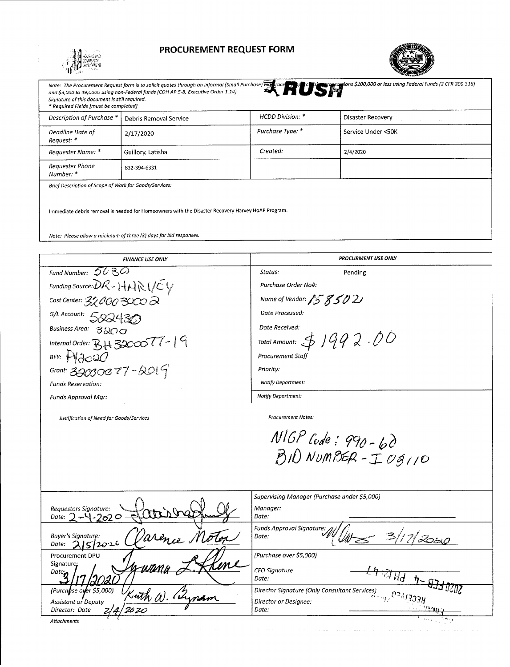

### **PROCUREMENT REQUEST FORM**



| Signature of this document is still required.<br>* Required Fields [must be completed]            |                        |                  | Note: The Procurement Request form is to solicit quotes through an informal (Small Purchase) but roce and the comparations \$100,000 or less using Federal Funds (2 CFR 200.318) and \$3,000 to 19,000 as using Federal Funds (2 |  |  |  |
|---------------------------------------------------------------------------------------------------|------------------------|------------------|----------------------------------------------------------------------------------------------------------------------------------------------------------------------------------------------------------------------------------|--|--|--|
| Description of Purchase *                                                                         | Debris Removal Service | HCDD Division: * | Disaster Recovery                                                                                                                                                                                                                |  |  |  |
| Deadline Date of<br>Request: *                                                                    | 2/17/2020              | Purchase Type: * | and a state<br>Service Under <50K                                                                                                                                                                                                |  |  |  |
| Requester Name: *                                                                                 | Guillory, Latisha      | Created:         | 2/4/2020                                                                                                                                                                                                                         |  |  |  |
| Requester Phone<br>Number: *                                                                      | 832-394-6331           |                  |                                                                                                                                                                                                                                  |  |  |  |
| Brief Description of Scope of Work for Goods/Services:                                            |                        |                  |                                                                                                                                                                                                                                  |  |  |  |
| Immediate debris removal is needed for Homeowners with the Disaster Recovery Harvey HoAP Program. |                        |                  |                                                                                                                                                                                                                                  |  |  |  |
| Note: Please allow a minimum of three (3) days for bid responses.                                 |                        |                  |                                                                                                                                                                                                                                  |  |  |  |

| <b>FINANCE USE ONLY</b>                                                                  | <b>PROCURMENT USE ONLY</b>                                                                                                       |
|------------------------------------------------------------------------------------------|----------------------------------------------------------------------------------------------------------------------------------|
| Fund Number: $5030$                                                                      | Status:<br>Pending                                                                                                               |
| Funding Source: $\partial \mathcal{R}$ - $HAR$ $\mathcal{R}$                             | Purchase Order No#:                                                                                                              |
| Cost Center: $32000$ $\approx$                                                           | Name of Vendor: 158502                                                                                                           |
| G/L Account: 522430                                                                      | Date Processed:                                                                                                                  |
| Business Area: 3200                                                                      | Date Received:                                                                                                                   |
| Internal Order: $BH$ 3200077-19                                                          | Total Amount: $\oint$ $1992.00$                                                                                                  |
| BFY: FY2020                                                                              | <b>Procurement Staff</b>                                                                                                         |
| Grant: 320000 77 - 2019                                                                  | Priority:                                                                                                                        |
| <b>Funds Reservation:</b>                                                                | Notify Department:                                                                                                               |
| Funds Approval Mar:                                                                      | Notify Department:                                                                                                               |
| Justification of Need for Goods/Services                                                 | $NIGP$ Code: 990 - 60<br>$BID$ NUMBER - I 03110                                                                                  |
| Requestors Signature:<br>Date: $2 - 4 - 2020$                                            | Supervising Manager (Purchase under \$5,000)<br>Manager:<br>Date:                                                                |
| arence Motor<br><b>Buyer's Signature:</b><br>2 5 2026<br>Date:                           | <b>Funds Approval Signature:</b><br>$\mathbf{3}$<br>Date:<br>'2050                                                               |
| Procurement DPU                                                                          | (Purchase over \$5,000)                                                                                                          |
| Signature:<br>Date <sub>n</sub>                                                          | <b>CFO Signature</b><br>र्म चा <sub>री प-</sub><br>Date:                                                                         |
| (Purchase over \$5,000)<br>with W. Wynam<br><b>Assistant or Deputy</b><br>Director: Date | Director Signature (Only Consultant Services)<br>Director Signature (Only Consultant Services)<br>Director or Designee:<br>Date: |
| Attachments                                                                              |                                                                                                                                  |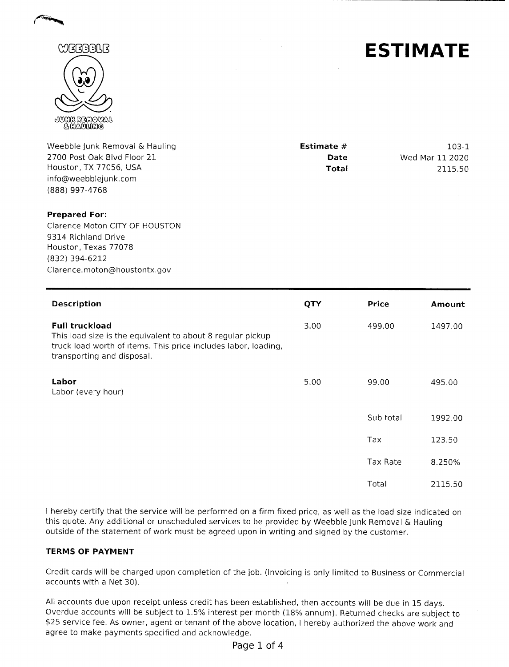



Weebble junk Removal & Hauling 2700 Post Oak Blvd Floor 21 Houston, TX 77056, USA info@weebblejunk.com (888) 997-4768

| Estimate # | 103-1           |
|------------|-----------------|
| Date       | Wed Mar 11 2020 |
| Total      | 2115.50         |

#### **Prepared For:**

Clarence Moton CITY OF HOUSTON 9314 Richland Drive Houston, Texas 77078 (832) 394-6212 Clarence.moton@houstontx.gov

| <b>Description</b>                                                                                                                                                                  | QTY  | <b>Price</b> | Amount  |
|-------------------------------------------------------------------------------------------------------------------------------------------------------------------------------------|------|--------------|---------|
| <b>Full truckload</b><br>This load size is the equivalent to about 8 regular pickup<br>truck load worth of items. This price includes labor, loading,<br>transporting and disposal. | 3.00 | 499.00       | 1497.00 |
| Labor<br>Labor (every hour)                                                                                                                                                         | 5.00 | 99.00        | 495.00  |
|                                                                                                                                                                                     |      | Sub total    | 1992.00 |
|                                                                                                                                                                                     |      | Tax          | 123.50  |
|                                                                                                                                                                                     |      | Tax Rate     | 8.250%  |
|                                                                                                                                                                                     |      | Total        | 2115.50 |

I hereby certify that the service will be performed on a firm fixed price, as well as the load size indicated on this quote. Any additional or unscheduled services to be provided by Weebble junk Removal & Hauling outside of the statement of work must be agreed upon in writing and signed by the customer.

#### **TERMS OF PAYMENT**

Credit cards will be charged upon completion of the job. (Invoicing is only limited to Business or Commercial accounts with a Net 30).

All accounts due upon receipt unless credit has been established, then accounts will be due in 15 days. Overdue accounts will be subject to 1.5% interest per month (18% annum). Returned checks are subject to s25 service fee. As owner, agent or tenant of the above location, I hereby authorized the above work and agree to make payments specified and acknowledge.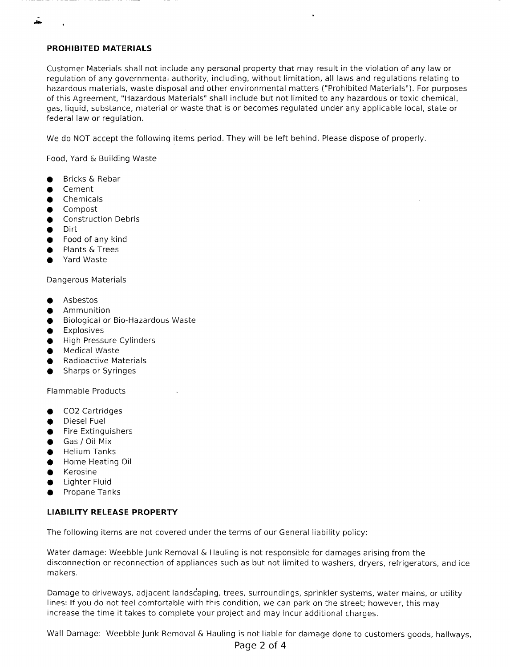#### **PROHIBITED MATERIALS**

Customer Materials shall not include any personal property that may result in the violation of any law or regulation of any governmental authority, including, without limitation, all laws and regulations relating to hazardous materials, waste disposal and other environmental matters ("Prohibited Materials'). For purposes of this Agreement, "Hazardous Materials" shall include but not limited to any hazardous or toxic chemical, gas, liquid, substance, material or waste that is or becomes regulated under any applicable local, state or federal law or regulation.

We do NOT accept the following items period. They will be left behind. Please dispose of properly.

Food, Yard & Building Waste

- **•** Bricks & Rebar
- **•** Cement
- **•** Chemicals
- Compost
- **•** Construction Debris
- Dirt
- **•** Food of any kind
- Plants & Trees
- Yard Waste

Dangerous Materials

- Asbestos
- Ammunition
- **•** Biological or Bio-Hazardous Waste
- **•** Explosives
- **•** High Pressure Cylinders
- **•** Medical Waste
- Radioactive Materials
- **•** Sharps or Syringes

Flammable Products

- **•** CO2 Cartridges
- **•** Diesel Fuel
- **•** Fire Extinguishers
- Gas *I* Oil Mix
- **•** Helium Tanks
- **•** Home Heating Oil
- **•** Kerosine
- **•** Lighter Fluid
- **•** Propane Tanks

#### **LIABILITY RELEASE PROPERTY**

The following items are not covered under the terms of our General liability policy:

Water damage: Weebble Junk Removal & Hauling is not responsible for damages arising from the disconnection or reconnection of appliances such as but not limited to washers, dryers, refrigerators, and ice makers.

Damage to driveways, adjacent landscaping, trees, surroundings, sprinkler systems, water mains, or utility lines: If you do not feel comfortable with this condition, we can park on the street; however, this may increase the time it takes to complete your project and may incur additional charges.

Wall Damage: Weebble Junk Removal & Hauling is not liable for damage done to customers goods, hallways,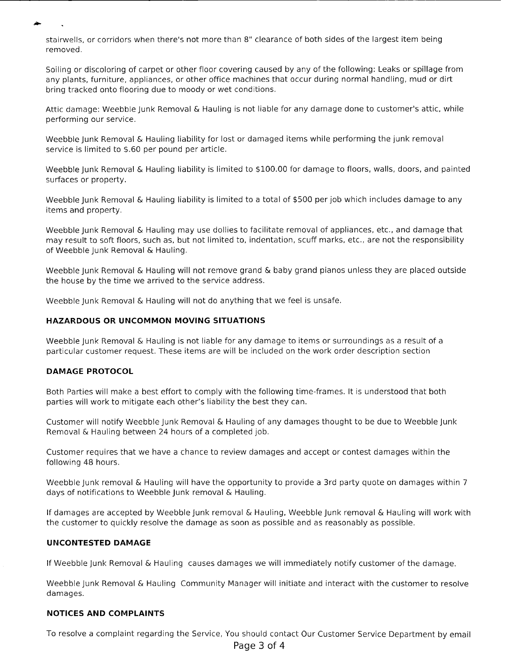stairwells, or corridors when there's not more than 8" clearance of both sides of the largest item being removed.

Soiling or discoloring of carpet or other floor covering caused by any of the following: Leaks or spillage from any plants, furniture, appliances, or other office machines that occur during normal handling, mud or dirt bring tracked onto flooring due to moody or wet conditions.

Attic damage: Weebble junk Removal & Hauling is not liable for any damage done to customer's attic, while performing our service.

Weebble junk Removal & Hauling liability for lost or damaged items while performing the junk removal service is limited to \$.60 per pound per article.

Weebble junk Removal & Hauling liability is limited to S100.00 for damage to floors, walls, doors, and painted surfaces or property.

Weebble junk Removal & Hauling liability is limited to a total of \$500 per job which includes damage to any items and property.

Weebble junk Removal & Hauling may use dollies to facilitate removal of appliances, etc., and damage that may result to soft floors, such as, but not limited to, indentation, scuff marks, etc., are not the responsibility of Weebble junk Removal & Hauling.

Weebble junk Removal & Hauling will not remove grand & baby grand pianos unless they are placed outside the house by the time we arrived to the service address.

Weebble Junk Removal & Hauling will not do anything that we feel is unsafe.

#### **HAZARDOUS OR UNCOMMON MOVING SITUATIONS**

Weebble junk Removal & Hauling is not liable for any damage to items or surroundings as a result of a particular customer request. These items are will be included on the work order description section

#### **DAMAGE PROTOCOL**

Both Parties will make a best effort to comply with the following time-frames. It is understood that both parties will work to mitigate each other's liability the best they can.

Customer will notify Weebble junk Removal & Hauling of any damages thought to be due to Weebble junk Removal & Hauling between 24 hours of a completed job.

Customer requires that we have a chance to review damages and accept or contest damages within the following 48 hours.

Weebble junk removal & Hauling will have the opportunity to provide a 3rd party quote on damages within 7 days of notifications to Weebble junk removal & Hauling.

If damages are accepted by Weebble junk removal & Hauling, Weebble junk removal & Hauling will work with the customer to quickly resolve the damage as soon as possible and as reasonably as possible.

#### **UNCONTESTED DAMAGE**

If Weebble junk Removal & Hauling causes damages we will immediately notify customer of the damage.

Weebble junk Removal & Hauling Community Manager will initiate and interact with the customer to resolve damages.

#### **NOTICES AND COMPLAINTS**

To resolve a complaint regarding the Service, You should contact Our Customer Service Department by email